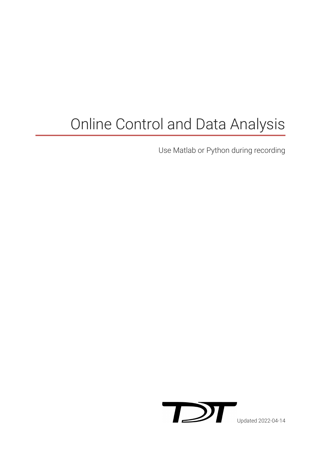# Online Control and Data Analysis

Use Matlab or Python during recording

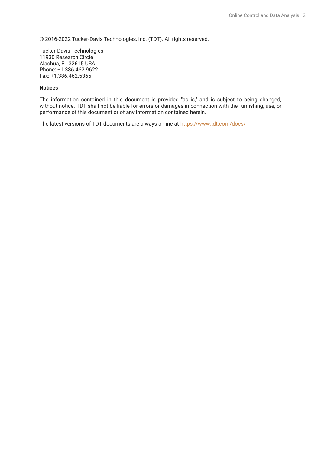© 2016-2022 Tucker-Davis Technologies, Inc. (TDT). All rights reserved.

Tucker-Davis Technologies 11930 Research Circle Alachua, FL 32615 USA Phone: +1.386.462.9622 Fax: +1.386.462.5365

#### **Notices**

The information contained in this document is provided "as is," and is subject to being changed, without notice. TDT shall not be liable for errors or damages in connection with the furnishing, use, or performance of this document or of any information contained herein.

The latest versions of TDT documents are always online at <https://www.tdt.com/docs/>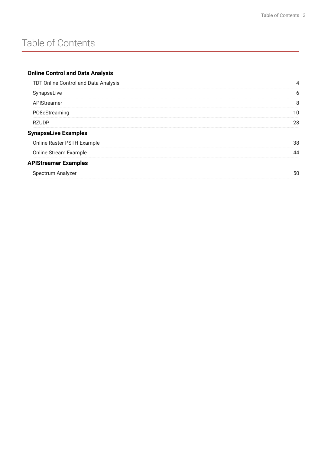## Table of Contents

## **[Online Control and Data Analysis](#page-3-0)**

| TDT Online Control and Data Analysis |    |
|--------------------------------------|----|
| SynapseLive                          |    |
| APIStreamer                          | 8  |
| PO8eStreaming                        | 10 |
| <b>RZUDP</b>                         | 28 |
| <b>SynapseLive Examples</b>          |    |
| Online Raster PSTH Example           | 38 |
| Online Stream Example                | ΔΔ |
| <b>APIStreamer Examples</b>          |    |
| Spectrum Analyzer                    | 50 |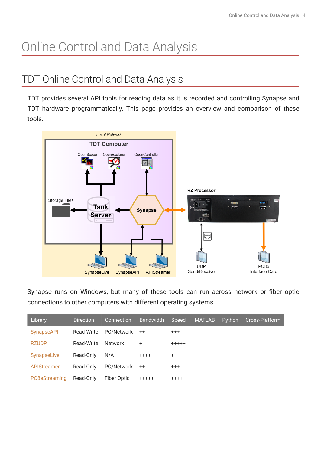# <span id="page-3-0"></span>Online Control and Data Analysis

## <span id="page-3-1"></span>TDT Online Control and Data Analysis

TDT provides several API tools for reading data as it is recorded and controlling Synapse and TDT hardware programmatically. This page provides an overview and comparison of these tools.



Synapse runs on Windows, but many of these tools can run across network or fiber optic connections to other computers with different operating systems.

| Library            | <b>Direction</b> | Connection     | <b>Bandwidth</b> | Speed       | <b>MATLAB</b> | Python | Cross-Platform |
|--------------------|------------------|----------------|------------------|-------------|---------------|--------|----------------|
| <b>SynapseAPI</b>  | Read-Write       | PC/Network     | $++$             | $^{+++}$    |               |        |                |
| <b>RZUDP</b>       | Read-Write       | <b>Network</b> | ÷.               | $+++++$     |               |        |                |
| SynapseLive        | Read-Only        | N/A            | $+ + + +$        | +           |               |        |                |
| <b>APIStreamer</b> | Read-Only        | PC/Network     | $++$             | $+ + +$     |               |        |                |
| PO8eStreaming      | Read-Only        | Fiber Optic    | $+++++$          | $+ + + + +$ |               |        |                |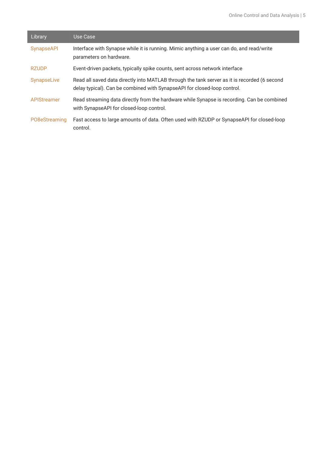| Library       | Use Case                                                                                                                                                                 |
|---------------|--------------------------------------------------------------------------------------------------------------------------------------------------------------------------|
| SynapseAPI    | Interface with Synapse while it is running. Mimic anything a user can do, and read/write<br>parameters on hardware.                                                      |
| <b>RZUDP</b>  | Event-driven packets, typically spike counts, sent across network interface                                                                                              |
| SynapseLive   | Read all saved data directly into MATLAB through the tank server as it is recorded (6 second<br>delay typical). Can be combined with SynapseAPI for closed-loop control. |
| APIStreamer   | Read streaming data directly from the hardware while Synapse is recording. Can be combined<br>with SynapseAPI for closed-loop control.                                   |
| PO8eStreaming | Fast access to large amounts of data. Often used with RZUDP or SynapseAPI for closed-loop<br>control.                                                                    |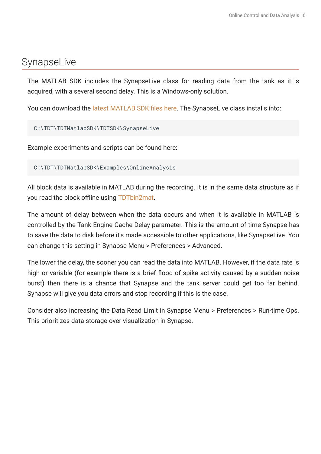## <span id="page-5-0"></span>SynapseLive

The MATLAB SDK includes the SynapseLive class for reading data from the tank as it is acquired, with a several second delay. This is a Windows-only solution.

You can download the [latest MATLAB SDK](https://www.tdt.com/docs/sdk/offline-data-analysis/offline-data-matlab/getting-started/) files here. The SynapseLive class installs into:

C:\TDT\TDTMatlabSDK\TDTSDK\SynapseLive

Example experiments and scripts can be found here:

C:\TDT\TDTMatlabSDK\Examples\OnlineAnalysis

All block data is available in MATLAB during the recording. It is in the same data structure as if you read the block offline using [TDTbin2mat](https://www.tdt.com/docs/sdk/offline-data-analysis/offline-data-matlab/overview/).

The amount of delay between when the data occurs and when it is available in MATLAB is controlled by the Tank Engine Cache Delay parameter. This is the amount of time Synapse has to save the data to disk before it's made accessible to other applications, like SynapseLive. You can change this setting in Synapse Menu > Preferences > Advanced.

The lower the delay, the sooner you can read the data into MATLAB. However, if the data rate is high or variable (for example there is a brief flood of spike activity caused by a sudden noise burst) then there is a chance that Synapse and the tank server could get too far behind. Synapse will give you data errors and stop recording if this is the case.

Consider also increasing the Data Read Limit in Synapse Menu > Preferences > Run-time Ops. This prioritizes data storage over visualization in Synapse.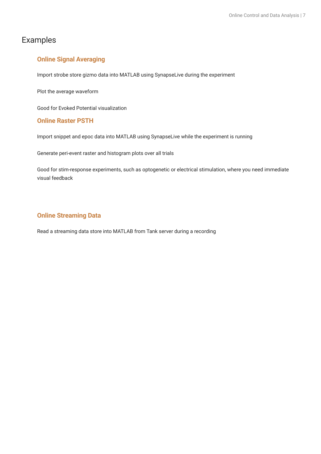## Examples

## **[Online Signal Averaging](#page-32-1)**

Import strobe store gizmo data into MATLAB using SynapseLive during the experiment

Plot the average waveform

Good for Evoked Potential visualization

## **[Online Raster PSTH](#page-37-0)**

Import snippet and epoc data into MATLAB using SynapseLive while the experiment is running

Generate peri-event raster and histogram plots over all trials

Good for stim-response experiments, such as optogenetic or electrical stimulation, where you need immediate visual feedback

## **[Online Streaming Data](#page-43-0)**

Read a streaming data store into MATLAB from Tank server during a recording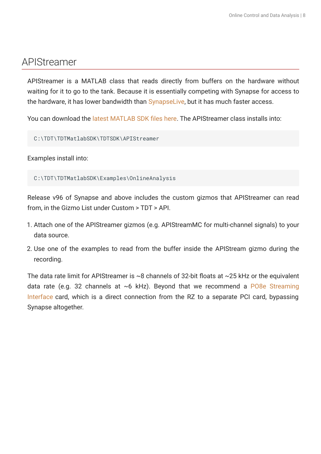## <span id="page-7-0"></span>APIStreamer

APIStreamer is a MATLAB class that reads directly from buffers on the hardware without waiting for it to go to the tank. Because it is essentially competing with Synapse for access to the hardware, it has lower bandwidth than [SynapseLive](#page-5-0), but it has much faster access.

You can download the [latest MATLAB SDK](https://www.tdt.com/docs/sdk/offline-data-analysis/offline-data-matlab/getting-started/) files here. The APIStreamer class installs into:

C:\TDT\TDTMatlabSDK\TDTSDK\APIStreamer

Examples install into:

C:\TDT\TDTMatlabSDK\Examples\OnlineAnalysis

Release v96 of Synapse and above includes the custom gizmos that APIStreamer can read from, in the Gizmo List under Custom > TDT > API.

- Attach one of the APIStreamer gizmos (e.g. APIStreamMC for multi-channel signals) to your 1. data source.
- 2. Use one of the examples to read from the buffer inside the APIStream gizmo during the recording.

The data rate limit for APIStreamer is  $\sim$ 8 channels of 32-bit floats at  $\sim$ 25 kHz or the equivalent data rate (e.g. 32 channels at  $~6$  kHz). Beyond that we recommend a [PO8e Streaming](https://www.tdt.com/docs/hardware/po8e-streaming-interface-for-the-rz/) [Interface](https://www.tdt.com/docs/hardware/po8e-streaming-interface-for-the-rz/) card, which is a direct connection from the RZ to a separate PCI card, bypassing Synapse altogether.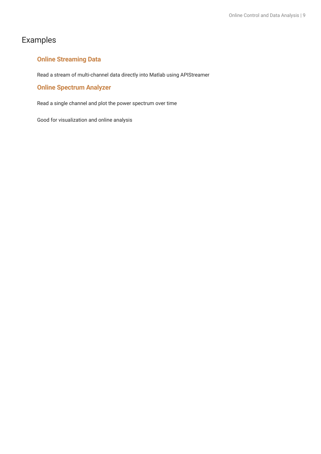## Examples

## **[Online Streaming Data](#page-46-1)**

Read a stream of multi-channel data directly into Matlab using APIStreamer

## **[Online Spectrum Analyzer](#page-49-0)**

Read a single channel and plot the power spectrum over time

Good for visualization and online analysis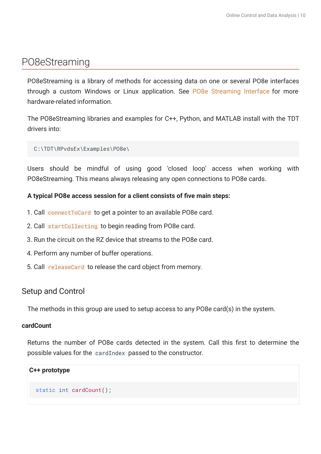## <span id="page-9-0"></span>PO8eStreaming

PO8eStreaming is a library of methods for accessing data on one or several PO8e interfaces through a custom Windows or Linux application. See [PO8e Streaming Interface](https://www.tdt.com/docs/hardware/po8e-streaming-interface-for-the-rz/) for more hardware-related information.

The PO8eStreaming libraries and examples for C++, Python, and MATLAB install with the TDT drivers into:

## C:\TDT\RPvdsEx\Examples\PO8e\

Users should be mindful of using good 'closed loop' access when working with PO8eStreaming. This means always releasing any open connections to PO8e cards.

## **A typical PO8e access session for a client consists of five main steps:**

- 1. Call connect ToCard to get a pointer to an available PO8e card.
- 2. Call [startCollecting](#page-12-0) to begin reading from PO8e card.
- 3. Run the circuit on the RZ device that streams to the PO8e card.
- 4. Perform any number of buffer operations.
- 5. Call [releaseCard](#page-11-0) to release the card object from memory.

## Setup and Control

The methods in this group are used to setup access to any PO8e card(s) in the system.

## **cardCount**

Returns the number of PO8e cards detected in the system. Call this first to determine the possible values for the cardIndex passed to the constructor.

## **C++ prototype**

static int cardCount();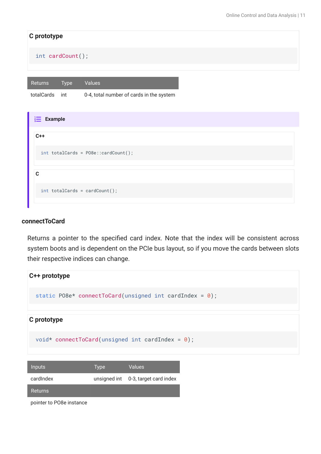| C prototype                            |                                          |
|----------------------------------------|------------------------------------------|
| int cardCount();                       |                                          |
|                                        |                                          |
| Values<br>Returns<br>Type              |                                          |
| totalCards<br>int                      | 0-4, total number of cards in the system |
|                                        |                                          |
| $\frac{1}{2}$ Example                  |                                          |
| $C++$                                  |                                          |
| $int totalCards = PO8e::cardCount()$ ; |                                          |
|                                        |                                          |
| $\mathbf c$                            |                                          |
| $int totalCards = cardCount();$        |                                          |

#### <span id="page-10-0"></span>**connectToCard**

Returns a pointer to the specified card index. Note that the index will be consistent across system boots and is dependent on the PCIe bus layout, so if you move the cards between slots their respective indices can change.



| Inputs         | Type | <b>Values</b>                       |
|----------------|------|-------------------------------------|
| cardIndex      |      | unsigned int 0-3, target card index |
| <b>Returns</b> |      |                                     |

pointer to PO8e instance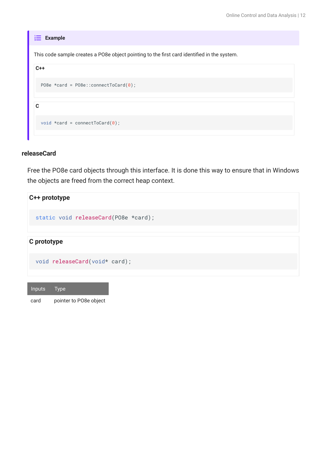| <b>Example</b><br>$\frac{2}{3}$                                                             |
|---------------------------------------------------------------------------------------------|
| This code sample creates a PO8e object pointing to the first card identified in the system. |
| $C++$                                                                                       |
| P08e *card = P08e::connectToCard $(0)$ ;                                                    |
|                                                                                             |
| C                                                                                           |
| void *card = connectToCard $(0)$ ;                                                          |
|                                                                                             |

#### <span id="page-11-0"></span>**releaseCard**

Free the PO8e card objects through this interface. It is done this way to ensure that in Windows the objects are freed from the correct heap context.

# **C++ prototype C prototype** static void releaseCard(PO8e \*card); void releaseCard(void\* card);

card pointer to PO8e object

Inputs Type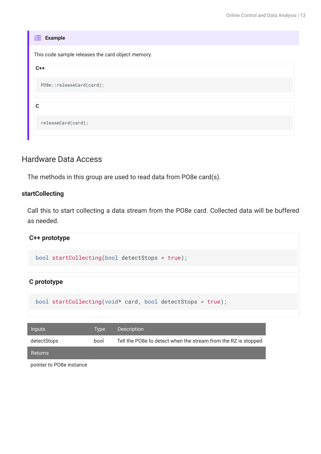| <b>Example</b><br>$rac{2}{3}$                     |
|---------------------------------------------------|
| This code sample releases the card object memory. |
| $C++$                                             |
| PO8e::releaseCard(card);                          |
| C                                                 |
| releaseCard(card);                                |

## Hardware Data Access

The methods in this group are used to read data from PO8e card(s).

## <span id="page-12-0"></span>**startCollecting**

Call this to start collecting a data stream from the PO8e card. Collected data will be buffered as needed.



pointer to PO8e instance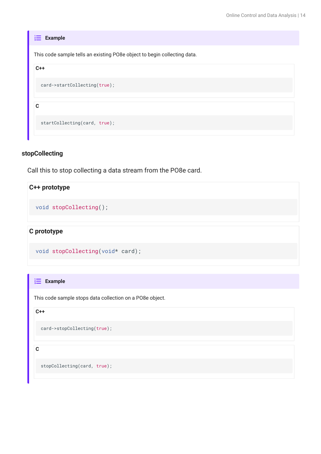## **stopCollecting**

Call this to stop collecting a data stream from the PO8e card.

## **C++ prototype**

void stopCollecting();

**C prototype**

```
void stopCollecting(void* card);
```
 $\frac{1}{3}$  **Example** 

This code sample stops data collection on a PO8e object.

**C++**

card->stopCollecting(true);

**C**

stopCollecting(card, true);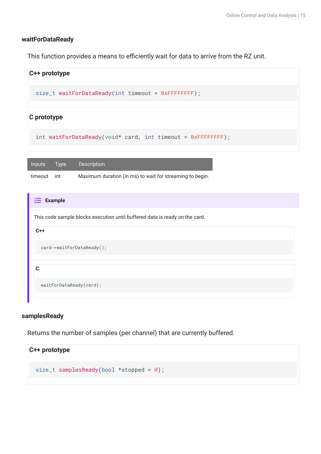## **waitForDataReady**

This function provides a means to efficiently wait for data to arrive from the RZ unit.



#### **samplesReady**

Returns the number of samples (per channel) that are currently buffered.

```
C++ prototype
  size_t samplesReady(bool *stopped = 0);
```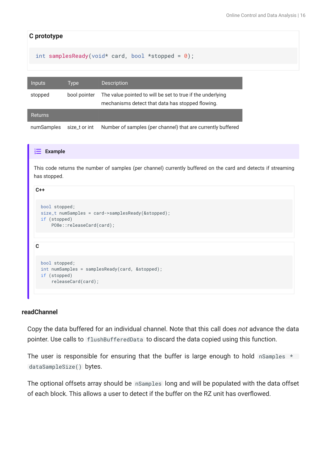| C prototype    |               |                                                                                                                |
|----------------|---------------|----------------------------------------------------------------------------------------------------------------|
|                |               | int samplesReady(void* card, bool *stopped = $\theta$ );                                                       |
|                |               |                                                                                                                |
| <b>Inputs</b>  | <b>Type</b>   | <b>Description</b>                                                                                             |
| stopped        | bool pointer  | The value pointed to will be set to true if the underlying<br>mechanisms detect that data has stopped flowing. |
| <b>Returns</b> |               |                                                                                                                |
| numSamples     | size t or int | Number of samples (per channel) that are currently buffered                                                    |

#### **Example**

This code returns the number of samples (per channel) currently buffered on the card and detects if streaming has stopped.

bool stopped; size\_t numSamples = card->samplesReady(&stopped); if (stopped) PO8e::releaseCard(card);

**C**

**C++**

```
bool stopped;
int numSamples = samplesReady(card, &stopped);
if (stopped)
     releaseCard(card);
```
#### **readChannel**

Copy the data buffered for an individual channel. Note that this call does *not* advance the data pointer. Use calls to flushBufferedData to discard the data copied using this function.

The user is responsible for ensuring that the buffer is large enough to hold nSamples  $*$ dataSampleSize() bytes.

The optional offsets array should be nSamples long and will be populated with the data offset of each block. This allows a user to detect if the buffer on the RZ unit has overflowed.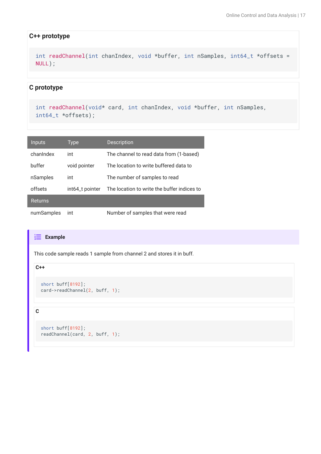#### **C++ prototype**

int readChannel(int chanIndex, void \*buffer, int nSamples, int64\_t \*offsets = NULL);

#### **C prototype**

```
int readChannel(void* card, int chanIndex, void *buffer, int nSamples,
int64_t *offsets);
```

| Inputs         | Type            | <b>Description</b>                          |
|----------------|-----------------|---------------------------------------------|
| chanIndex      | int             | The channel to read data from (1-based)     |
| buffer         | void pointer    | The location to write buffered data to      |
| nSamples       | int             | The number of samples to read               |
| offsets        | int64_t pointer | The location to write the buffer indices to |
| <b>Returns</b> |                 |                                             |
| numSamples     | int             | Number of samples that were read            |

#### **Example**

This code sample reads 1 sample from channel 2 and stores it in buff.

#### **C++**

```
short buff[8192];
card->readChannel(2, buff, 1);
```
#### **C**

```
short buff[8192];
readChannel(card, 2, buff, 1);
```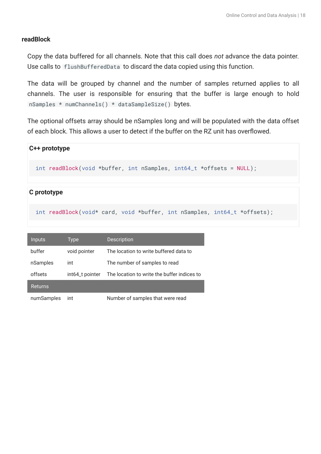## **readBlock**

Copy the data buffered for all channels. Note that this call does *not* advance the data pointer. Use calls to flushBufferedData to discard the data copied using this function.

The data will be grouped by channel and the number of samples returned applies to all channels. The user is responsible for ensuring that the buffer is large enough to hold nSamples \* numChannels() \* dataSampleSize() bytes.

The optional offsets array should be nSamples long and will be populated with the data offset of each block. This allows a user to detect if the buffer on the RZ unit has overflowed.

# **C++ prototype** int readBlock(void \*buffer, int nSamples, int64\_t \*offsets = NULL);

## **C prototype**

int readBlock(void\* card, void \*buffer, int nSamples, int64\_t \*offsets);

| <b>Inputs</b>  | Type            | Description                                 |
|----------------|-----------------|---------------------------------------------|
| buffer         | void pointer    | The location to write buffered data to      |
| nSamples       | int             | The number of samples to read               |
| offsets        | int64_t pointer | The location to write the buffer indices to |
| <b>Returns</b> |                 |                                             |
| numSamples     | int             | Number of samples that were read            |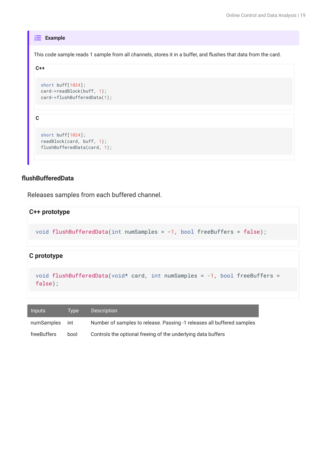#### **Example**

This code sample reads 1 sample from all channels, stores it in a buffer, and flushes that data from the card.

```
C++
```
**C**

```
short buff[1024];
card->readBlock(buff, 1);
card->flushBufferedData(1);
```
short buff[1024]; readBlock(card, buff, 1); flushBufferedData(card, 1);

## **flushBufferedData**

Releases samples from each buffered channel.

#### **C++ prototype**

```
void flushBufferedData(int numSamples = -1, bool freeBuffers = false);
```
#### **C prototype**

```
void flushBufferedData(void* card, int numSamples = -1, bool freeBuffers =
false);
```

| <b>Inputs</b> | Tvpe | <b>Description</b>                                                     |
|---------------|------|------------------------------------------------------------------------|
| numSamples    | int  | Number of samples to release. Passing -1 releases all buffered samples |
| freeBuffers   | bool | Controls the optional freeing of the underlying data buffers           |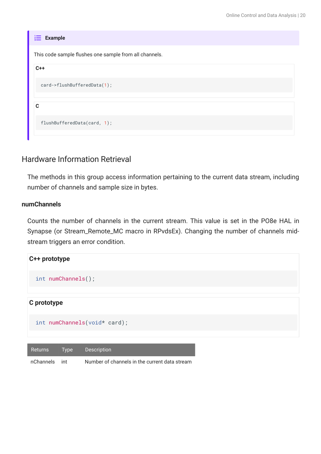| <b>Example</b><br>這                                    |
|--------------------------------------------------------|
| This code sample flushes one sample from all channels. |
| $C++$                                                  |
| card->flushBufferedData(1);                            |
|                                                        |
| C                                                      |
| flushBufferedData(card, 1);                            |

## Hardware Information Retrieval

The methods in this group access information pertaining to the current data stream, including number of channels and sample size in bytes.

## **numChannels**

Counts the number of channels in the current stream. This value is set in the PO8e HAL in Synapse (or Stream\_Remote\_MC macro in RPvdsEx). Changing the number of channels midstream triggers an error condition.



| nChannels int | Number of channels in the current data stream |
|---------------|-----------------------------------------------|
|               |                                               |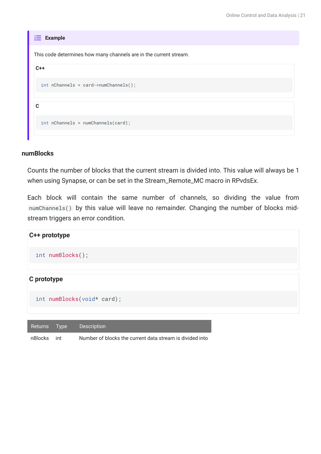| $\frac{1}{3}$ Example                                             |
|-------------------------------------------------------------------|
| This code determines how many channels are in the current stream. |
| $C++$                                                             |
| $int nChannels = card->numChannels()$ ;                           |
| C                                                                 |
|                                                                   |
| $int nChannels = numChannels(card);$                              |

#### **numBlocks**

Counts the number of blocks that the current stream is divided into. This value will always be 1 when using Synapse, or can be set in the Stream\_Remote\_MC macro in RPvdsEx.

Each block will contain the same number of channels, so dividing the value from numChannels() by this value will leave no remainder. Changing the number of blocks midstream triggers an error condition.



| ˈ Returns     Tvpe |       | <b>Description</b>                                       |
|--------------------|-------|----------------------------------------------------------|
| nBlocks            | - int | Number of blocks the current data stream is divided into |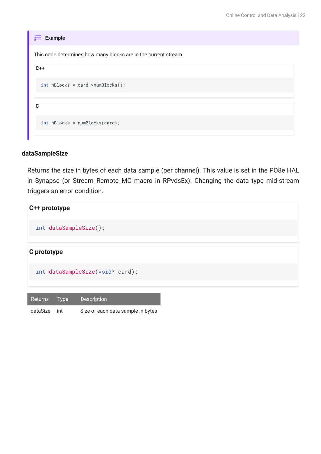| <b>Example</b><br>這                                             |  |  |  |  |
|-----------------------------------------------------------------|--|--|--|--|
| This code determines how many blocks are in the current stream. |  |  |  |  |
| $C++$                                                           |  |  |  |  |
| $int$ nBlocks = card->numBlocks();                              |  |  |  |  |
|                                                                 |  |  |  |  |
| C                                                               |  |  |  |  |
| $int$ nBlocks = numBlocks(card);                                |  |  |  |  |

#### **dataSampleSize**

Returns the size in bytes of each data sample (per channel). This value is set in the PO8e HAL in Synapse (or Stream\_Remote\_MC macro in RPvdsEx). Changing the data type mid-stream triggers an error condition.



| dataSize int | Size of each data sample in bytes |
|--------------|-----------------------------------|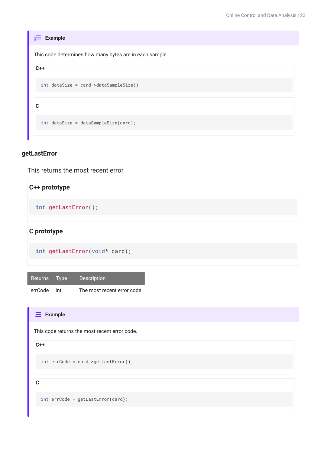| <b>Example</b>                                          |
|---------------------------------------------------------|
| This code determines how many bytes are in each sample. |
| $C++$                                                   |
| $int dataSize = card - > dataSampleSize()$ ;            |
| C                                                       |
| $int dataSize = dataSampleSize(card);$                  |

#### **getLastError**

This returns the most recent error.

## **C++ prototype**

int getLastError();

## **C prototype**

int getLastError(void\* card);

Returns Type Description

errCode int The most recent error code

```
This code returns the most recent error code.
Example
C++
C
  int errCode = card->getLastError();
  int errCode = getLastError(card);
```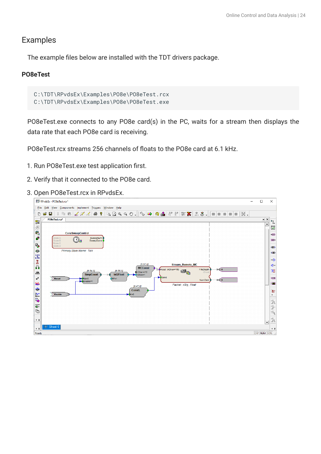## Examples

The example files below are installed with the TDT drivers package.

## **PO8eTest**

```
C:\TDT\RPvdsEx\Examples\PO8e\PO8eTest.rcx
C:\TDT\RPvdsEx\Examples\PO8e\PO8eTest.exe
```
PO8eTest.exe connects to any PO8e card(s) in the PC, waits for a stream then displays the data rate that each PO8e card is receiving.

PO8eTest.rcx streams 256 channels of floats to the PO8e card at 6.1 kHz.

- 1. Run PO8eTest.exe test application first.
- 2. Verify that it connected to the PO8e card.
- 3. Open PO8eTest.rcx in RPvdsEx.

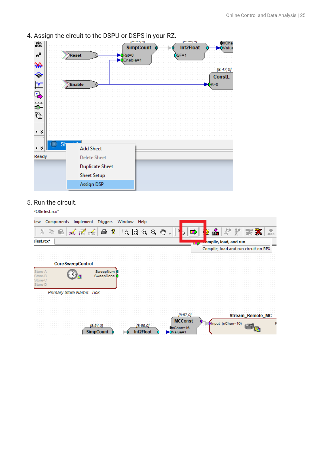- InCha sin<br>cos **SimpCount Int2Float** Value  $e^X$ Rst=0 Reset  $SE = 1$ Enable=1 ₩  $[8:47,0]$ ↷ **ConstL**  $\mathbf{r}$ Enable  $= 0$ 吗 ņи<br>D 牺  $\triangleleft$   $\boldsymbol{z}$ -S  $\bullet$   $\approx$ **Add Sheet** Ready **Delete Sheet Duplicate Sheet Sheet Setup Assign DSP**
- 4. Assign the circuit to the DSPU or DSPS in your RZ.

5. Run the circuit.

PO8eTest.rcx\*

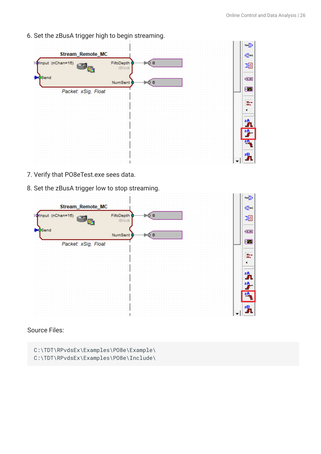6. Set the zBusA trigger high to begin streaming.



- 7. Verify that PO8eTest.exe sees data.
- 8. Set the zBusA trigger low to stop streaming.



Source Files:

C:\TDT\RPvdsEx\Examples\PO8e\Example\ C:\TDT\RPvdsEx\Examples\PO8e\Include\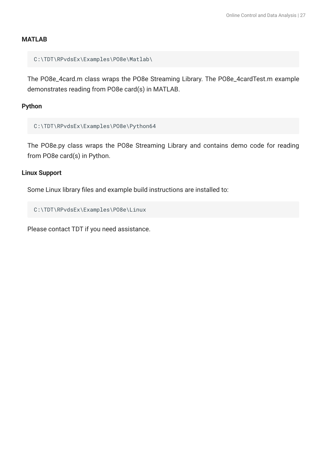## **MATLAB**

C:\TDT\RPvdsEx\Examples\PO8e\Matlab\

The PO8e\_4card.m class wraps the PO8e Streaming Library. The PO8e\_4cardTest.m example demonstrates reading from PO8e card(s) in MATLAB.

## **Python**

```
C:\TDT\RPvdsEx\Examples\PO8e\Python64
```
The PO8e.py class wraps the PO8e Streaming Library and contains demo code for reading from PO8e card(s) in Python.

## **Linux Support**

Some Linux library files and example build instructions are installed to:

```
C:\TDT\RPvdsEx\Examples\PO8e\Linux
```
Please contact TDT if you need assistance.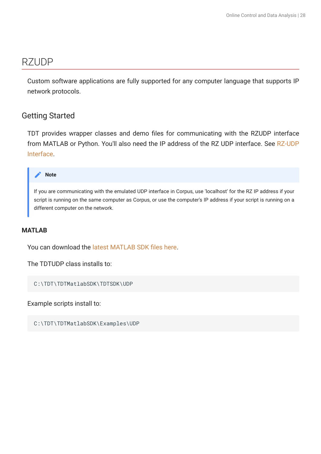## <span id="page-27-0"></span>RZUDP

Custom software applications are fully supported for any computer language that supports IP network protocols.

## Getting Started

TDT provides wrapper classes and demo files for communicating with the RZUDP interface from MATLAB or Python. You'll also need the IP address of the RZ UDP interface. See [RZ-UDP](https://www.tdt.com/docs/hardware/rz-udp-interface/) [Interface.](https://www.tdt.com/docs/hardware/rz-udp-interface/)



If you are communicating with the emulated UDP interface in Corpus, use 'localhost' for the RZ IP address if your script is running on the same computer as Corpus, or use the computer's IP address if your script is running on a different computer on the network.

## **MATLAB**

You can download the [latest MATLAB SDK](https://www.tdt.com/docs/sdk/offline-data-analysis/offline-data-matlab/getting-started/) files here.

The TDTUDP class installs to:

```
C:\TDT\TDTMatlabSDK\TDTSDK\UDP
```
Example scripts install to:

C:\TDT\TDTMatlabSDK\Examples\UDP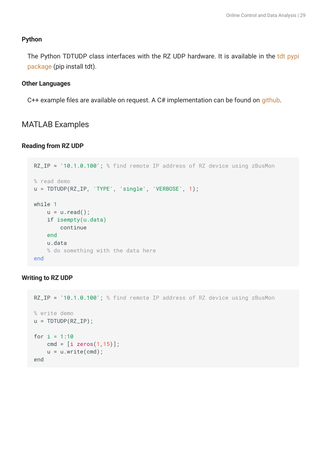## **Python**

The Python TDTUDP class interfaces with the RZ UDP hardware. It is available in the [tdt pypi](https://pypi.org/project/tdt/) [package](https://pypi.org/project/tdt/) (pip install tdt).

#### **Other Languages**

C++ example files are available on request. A C# implementation can be found on [github.](https://github.com/tischfieldlab/SynapseTools)

## MATLAB Examples

#### **Reading from RZ UDP**

```
RZ_IP = '10.1.0.100'; % find remote IP address of RZ device using zBusMon
% read demo
u = TDTUDP(RZ_I P, 'TYPE', 'single', 'VERBOSE', 1);while 1
    u = u.read();
     if isempty(u.data)
         continue
     end
     u.data
     % do something with the data here
end
```
## **Writing to RZ UDP**

```
RZ_IP = '10.1.0.100'; % find remote IP address of RZ device using zBusMon
% write demo
u = TDTUDP(RZ_IIP);
for i = 1:10cmd = [i \text{ zeros}(1, 15)];
    u = u.write(cmd);end
```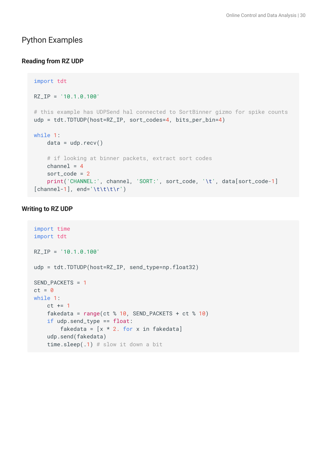## Python Examples

## **Reading from RZ UDP**

```
import tdt
RZ_IP = '10.1.0.100'
# this example has UDPSend hal connected to SortBinner gizmo for spike counts
udp = tdt.TDTUDP(host=RZ_IP, sort_codes=4, bits_per_bin=4)
while 1:
   data = udp.recv() # if looking at binner packets, extract sort codes
   channel = 4 sort_code = 2
     print('CHANNEL:', channel, 'SORT:', sort_code, '\t', data[sort_code-1]
[channel-1], end='\t\t\t\r')
```
## **Writing to RZ UDP**

```
import time
import tdt
RZ_IP = '10.1.0.100'
udp = tdt.TDTUDP(host=RZ_IP, send_type=np.float32)
SEND_PACKETS = 1
ct = 0while 1:
   ct += 1fakedata = range(ct % 10, SEND_PACKETS + ct % 10) if udp.send_type == float:
        fakedata = [x * 2. for x in fakedata]
    udp.send(fakedata)
    time.sleep(.1) # slow it down a bit
```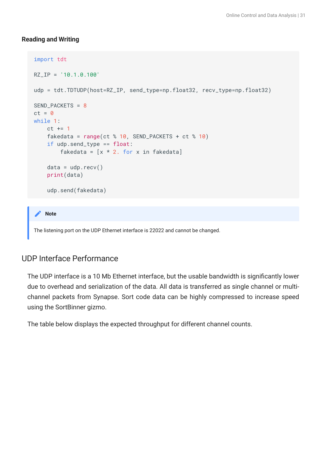#### **Reading and Writing**

```
import tdt
RZ_IP = '10.1.0.100'
udp = tdt.TDTUDP(host=RZ_IP, send_type=np.float32, recv_type=np.float32)
SEND_PACKETS = 8
ct = 0while 1:
   ct += 1fakedata = range(ct % 10, SEND_PACKETS + ct % 10) if udp.send_type == float:
        fakedata = [x * 2. for x in fakedata]
    data = udp.recv() print(data)
     udp.send(fakedata)
```
#### **Note**

The listening port on the UDP Ethernet interface is 22022 and cannot be changed.

## UDP Interface Performance

The UDP interface is a 10 Mb Ethernet interface, but the usable bandwidth is significantly lower due to overhead and serialization of the data. All data is transferred as single channel or multichannel packets from Synapse. Sort code data can be highly compressed to increase speed using the SortBinner gizmo.

The table below displays the expected throughput for different channel counts.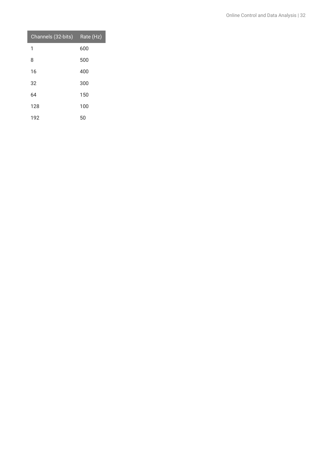| Channels (32-bits) | Rate (Hz) |
|--------------------|-----------|
| 1                  | 600       |
| 8                  | 500       |
| 16                 | 400       |
| 32                 | 300       |
| 64                 | 150       |
| 128                | 100       |
| 192                | 50        |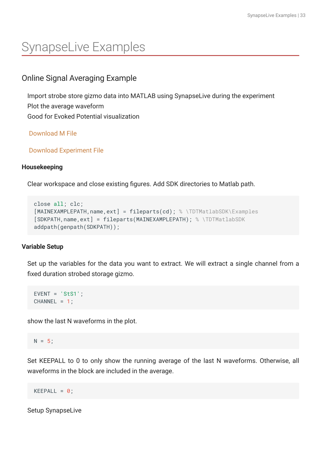# <span id="page-32-0"></span>SynapseLive Examples

## <span id="page-32-1"></span>Online Signal Averaging Example

Import strobe store gizmo data into MATLAB using SynapseLive during the experiment Plot the average waveform Good for Evoked Potential visualization

 [Download M File](https://www.tdt.com/docs/sdk/online-control-and-data-analysis/assets/m_files/SynapseLive_demo_Averaging.m)

 [Download Experiment File](https://www.tdt.com/docs/sdk/online-control-and-data-analysis/assets/synexpz_files/OnlineAveragingDemo.synexpz)

## **Housekeeping**

Clear workspace and close existing figures. Add SDK directories to Matlab path.

```
close all; clc;
[MAINEXAMPLEPATH,name,ext] = fileparts(cd); % \TDTMatlabSDK\Examples
[SDKPATH,name,ext] = fileparts(MAINEXAMPLEPATH); % \TDTMatlabSDK
addpath(genpath(SDKPATH));
```
## **Variable Setup**

Set up the variables for the data you want to extract. We will extract a single channel from a fixed duration strobed storage gizmo.

EVENT = 'StS1';  $CHANNEL = 1$ ;

show the last N waveforms in the plot.

```
N = 5;
```
Set KEEPALL to 0 to only show the running average of the last N waveforms. Otherwise, all waveforms in the block are included in the average.

KEEPALL =  $0$ ;

Setup SynapseLive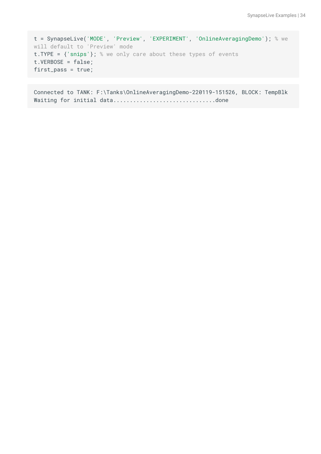```
t = SynapseLive('MODE', 'Preview', 'EXPERIMENT', 'OnlineAveragingDemo'); % we 
will default to 'Preview' mode
t.TYPE = {'snips'}; % we only care about these types of events
t.VERBOSE = false;
first_pass = true;
```
Connected to TANK: F:\Tanks\OnlineAveragingDemo-220119-151526, BLOCK: TempBlk Waiting for initial data...............................done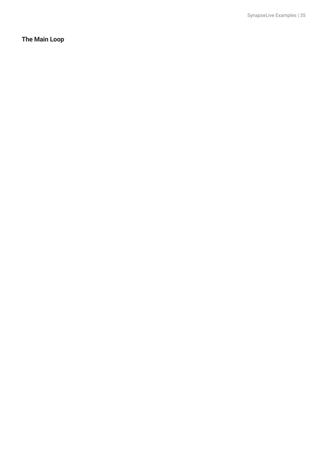**The Main Loop**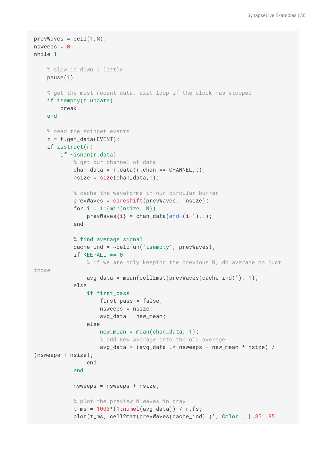```
prevWaves = cell(1,N);
nsweeps = \theta;
while 1
     % slow it down a little
     pause(1)
     % get the most recent data, exit loop if the block has stopped
     if isempty(t.update)
         break
     end
     % read the snippet events
    r = t.get_data(EVENT); if isstruct(r)
         if ~isnan(r.data)
             % get our channel of data
            chan_data = r.data(r.chan == CHANNEL,:);nsize = size(char_data, 1); % cache the waveforms in our circular buffer
             prevWaves = circshift(prevWaves, -nsize);
            for i = 1: (\min(\text{nsize}, N))prevWaves{i} = chan_data(end-(i-1),:;
             end
             % find average signal
            cache\_ind = \sim cellfun('isempty', prevWaves);if KEEPALL == 0 % if we are only keeping the previous N, do average on just 
those
                avg_data = mean(cell2mat(prevWaves(cache_id)')), 1);
             else
                 if first_pass
                      first_pass = false;
                      nsweeps = nsize;
                      avg_data = new_mean;
                 else
                     new_mean = mean(chan_data, 1); % add new average into the old average
                     avg_data = (avg_data .*nsweeps + new_mean *nsize) /(nsweeps + nsize);
                 end
             end
             nsweeps = nsweeps + nsize;
             % plot the preview N waves in gray
            t_{rms} = 1000*(1:numel(avg_data)) / r.fs; plot(t_ms, cell2mat(prevWaves(cache_ind)')','Color', [.85 .85 .
```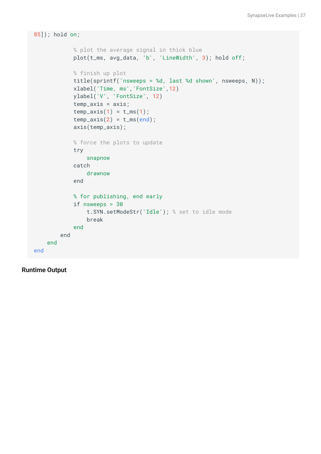```
85]); hold on;
             % plot the average signal in thick blue
             plot(t_ms, avg_data, 'b', 'LineWidth', 3); hold off;
             % finish up plot
             title(sprintf('nsweeps = %d, last %d shown', nsweeps, N));
             xlabel('Time, ms','FontSize',12)
             ylabel('V', 'FontSize', 12)
             temp_axis = axis;
            temp\_axis(1) = t_m(s(1));temp_axis(2) = t_m send); axis(temp_axis);
             % force the plots to update
             try
                  snapnow
             catch
                  drawnow
             end
             % for publishing, end early
             if nsweeps > 30
                 t.SYN.setModeStr('Idle'); % set to idle mode
                  break
             end
         end
     end
end
```
**Runtime Output**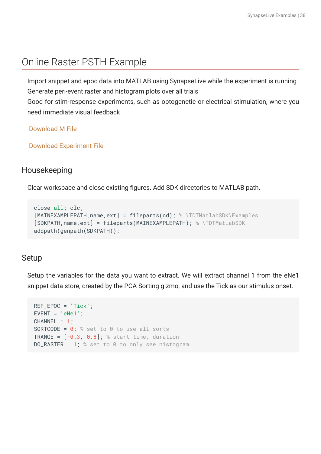## <span id="page-37-0"></span>Online Raster PSTH Example

Import snippet and epoc data into MATLAB using SynapseLive while the experiment is running Generate peri-event raster and histogram plots over all trials

Good for stim-response experiments, such as optogenetic or electrical stimulation, where you need immediate visual feedback

 [Download M File](https://www.tdt.com/docs/sdk/online-control-and-data-analysis/assets/m_files/SynapseLive_demo_RasterPSTH.m)

 [Download Experiment File](https://www.tdt.com/docs/sdk/online-control-and-data-analysis/assets/synexpz_files/RasterPSTHdemo.synexpz)

## Housekeeping

Clear workspace and close existing figures. Add SDK directories to MATLAB path.

```
close all; clc;
[MAINEXAMPLEPATH,name,ext] = fileparts(cd); % \TDTMatlabSDK\Examples
[SDKPATH,name,ext] = fileparts(MAINEXAMPLEPATH); % \TDTMatlabSDK
addpath(genpath(SDKPATH));
```
## Setup

Setup the variables for the data you want to extract. We will extract channel 1 from the eNe1 snippet data store, created by the PCA Sorting gizmo, and use the Tick as our stimulus onset.

```
REF_EPOC = 'Tick';
EVENT = 'eNe1';
CHANNEL = 1;SORTCODE = 0; % set to 0 to use all sorts
TRANGE = [-0.3, 0.8]; % start time, duration
DO_RASTER = 1; % set to \theta to only see histogram
```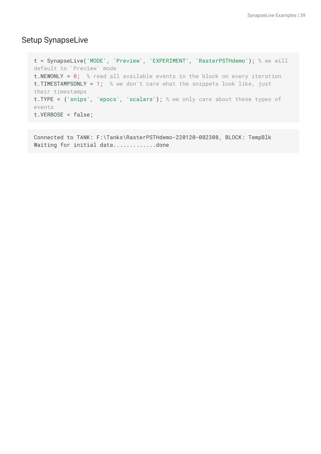## Setup SynapseLive

```
t = SynapseLive('MODE', 'Preview', 'EXPERIMENT', 'RasterPSTHdemo'); % we will 
default to 'Preview' mode
t. NEWONLY = 0; % read all available events in the block on every iteration
t. TIMESTAMPSONLY = 1; % we don't care what the snippets look like, just
their timestamps
t.TYPE = {'snips', 'epocs', 'scalars'}; % we only care about these types of 
events
t.VERBOSE = false;
```
Connected to TANK: F:\Tanks\RasterPSTHdemo-220120-082308, BLOCK: TempBlk Waiting for initial data.................done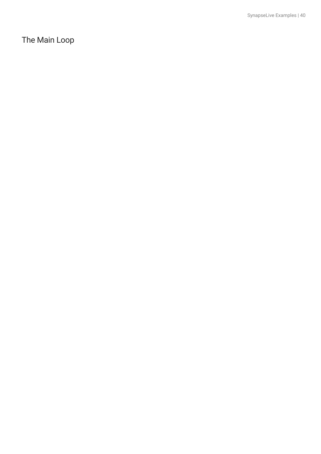The Main Loop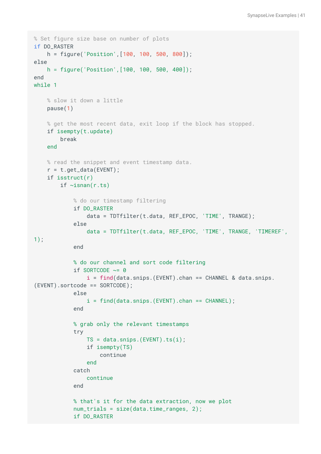```
% Set figure size base on number of plots
if DO_RASTER
     h = figure('Position',[100, 100, 500, 800]);
else
     h = figure('Position',[100, 100, 500, 400]);
end
while 1
     % slow it down a little
     pause(1)
     % get the most recent data, exit loop if the block has stopped.
     if isempty(t.update)
         break
     end
     % read the snippet and event timestamp data.
    r = t.get_data(EVENT); if isstruct(r)
        if \simisnan(r.ts)
             % do our timestamp filtering
             if DO_RASTER
                  data = TDTfilter(t.data, REF_EPOC, 'TIME', TRANGE);
             else
                  data = TDTfilter(t.data, REF_EPOC, 'TIME', TRANGE, 'TIMEREF',
1);
             end
             % do our channel and sort code filtering
            if SORTCODE \sim= 0i = find(data.snips.(EVENT).chan == CHANNEL & data.snips.(EVENT).sortcode == SORTCODE);
             else
                 i = find(data.snips.(EVENT).chan == CHANNEL);
             end
             % grab only the relevant timestamps
             try
                 TS = data.snips.(EVENT).ts(i);
                  if isempty(TS)
                      continue
                  end
             catch
                  continue
             end
             % that's it for the data extraction, now we plot
             num_trials = size(data.time_ranges, 2);
             if DO_RASTER
```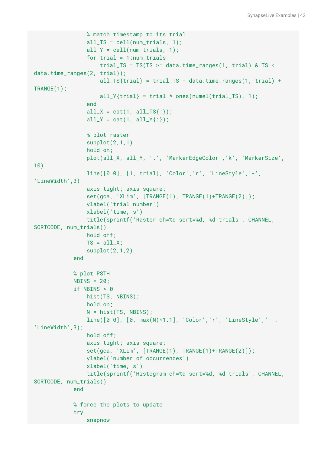```
 % match timestamp to its trial
                 all_TS = cell(num\_trials, 1);
                 all_Y = cell(num\_trials, 1);for trial = 1:num\_trials trial_TS = TS(TS >= data.time_ranges(1, trial) & TS < 
data.time_ranges(2, trial));
                     all_TS\{trial\} = trial_TS - data.time_ranges(1, trial) +
TRANGE(1);
                     all_Y{trial} = trial * ones(numel(trial_TS), 1);
                  end
                 all_X = cat(1, all_TS(:));
                 all_Y = cat(1, all_Y;);
                 % plot raster
                  subplot(2,1,1)
                 hold on;
                  plot(all_X, all_Y, '.', 'MarkerEdgeColor','k', 'MarkerSize',
10)
                 line([0 0], [1, trial], 'Color','r', 'LineStyle','-', 
'LineWidth',3)
                 axis tight; axis square;
                 set(gca, 'XLim', [TRANGE(1), TRANGE(1)+TRANGE(2)]);
                 ylabel('trial number')
                  xlabel('time, s')
                 title(sprintf('Raster ch=%d sort=%d, %d trials', CHANNEL, 
SORTCODE, num_trials))
                 hold off;
                TS = a11_X;
                  subplot(2,1,2)
             end
             % plot PSTH
            NBINS = 20;
            if NBINS > 0 hist(TS, NBINS);
                 hold on;
                 N = hist(TS, NBINS); line([0 0], [0, max(N)*1.1], 'Color','r', 'LineStyle','-', 
'LineWidth',3);
                 hold off;
                  axis tight; axis square;
                  set(gca, 'XLim', [TRANGE(1), TRANGE(1)+TRANGE(2)]);
                 ylabel('number of occurrences')
                 xlabel('time, s')
                 title(sprintf('Histogram ch=%d sort=%d, %d trials', CHANNEL, 
SORTCODE, num_trials))
             end
             % force the plots to update
             try
                  snapnow
```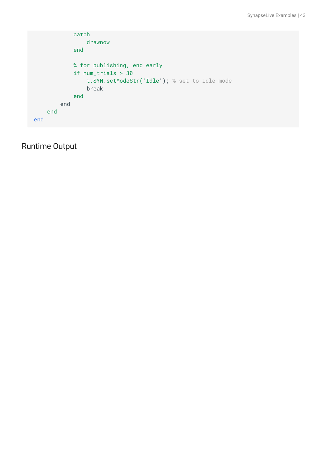```
 catch
                  drawnow
             end
             % for publishing, end early
             if num_trials > 30
                  t.SYN.setModeStr('Idle'); % set to idle mode
                  break
              end
         end
     end
end
```
Runtime Output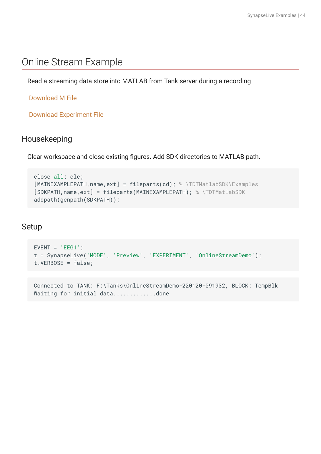## <span id="page-43-0"></span>Online Stream Example

Read a streaming data store into MATLAB from Tank server during a recording

## [Download M File](https://www.tdt.com/docs/sdk/online-control-and-data-analysis/assets/m_files/SynapseLive_demo_Stream.m)

 [Download Experiment File](https://www.tdt.com/docs/sdk/online-control-and-data-analysis/assets/synexpz_files/OnlineStreamDemo.synexpz)

## Housekeeping

Clear workspace and close existing figures. Add SDK directories to MATLAB path.

```
close all; clc;
[MAINEXAMPLEPATH,name,ext] = fileparts(cd); % \TDTMatlabSDK\Examples
[SDKPATH,name,ext] = fileparts(MAINEXAMPLEPATH); % \TDTMatlabSDK
addpath(genpath(SDKPATH));
```
## Setup

```
EVENT = 'EEG1';
t = SynapseLive('MODE', 'Preview', 'EXPERIMENT', 'OnlineStreamDemo');
t.VERBOSE = false;
```
Connected to TANK: F:\Tanks\OnlineStreamDemo-220120-091932, BLOCK: TempBlk Waiting for initial data................done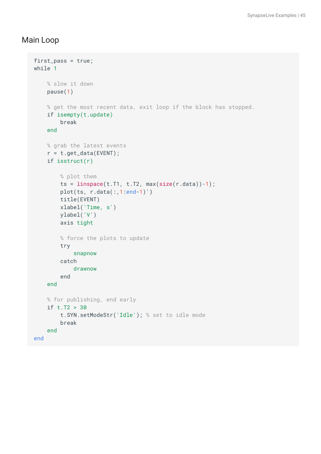## Main Loop

```
first_pass = true;
while 1
     % slow it down
     pause(1)
     % get the most recent data, exit loop if the block has stopped.
     if isempty(t.update)
         break
     end
     % grab the latest events
     r = t.get_data(EVENT);
     if isstruct(r)
         % plot them
        ts = linspace(t.T1, t.T2, max(size(r.data))-1); plot(ts, r.data(:,1:end-1)')
         title(EVENT)
         xlabel('Time, s')
         ylabel('V')
         axis tight
         % force the plots to update
         try
             snapnow
         catch
             drawnow
         end
     end
     % for publishing, end early
     if t.T2 > 30
         t.SYN.setModeStr('Idle'); % set to idle mode
         break
     end
end
```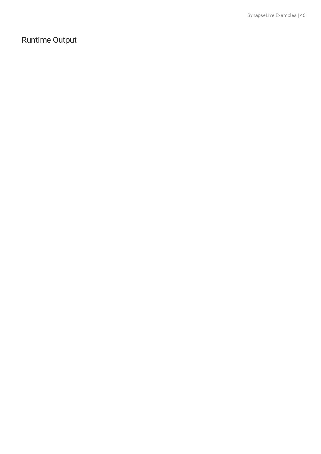## Runtime Output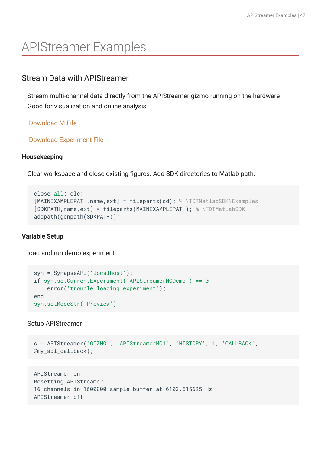# <span id="page-46-0"></span>APIStreamer Examples

## <span id="page-46-1"></span>Stream Data with APIStreamer

Stream multi-channel data directly from the APIStreamer gizmo running on the hardware Good for visualization and online analysis

 [Download M File](https://www.tdt.com/docs/sdk/online-control-and-data-analysis/assets/m_files/Example_Stream.m)

 [Download Experiment File](https://www.tdt.com/docs/sdk/online-control-and-data-analysis/assets/synexpz_files/APIStreamerMCDemo.synexpz)

## **Housekeeping**

Clear workspace and close existing figures. Add SDK directories to Matlab path.

```
close all; clc;
[MAINEXAMPLEPATH,name,ext] = fileparts(cd); % \TDTMatlabSDK\Examples
[SDKPATH,name,ext] = fileparts(MAINEXAMPLEPATH); % \TDTMatlabSDK
addpath(genpath(SDKPATH));
```
## **Variable Setup**

load and run demo experiment

```
syn = SynapseAPI('localhost');
if syn.setCurrentExperiment('APIStreamerMCDemo') == 0
     error('trouble loading experiment');
end
syn.setModeStr('Preview');
```
Setup APIStreamer

```
s = APIStreamer('GIZMO', 'APIStreamerMC1', 'HISTORY', 1, 'CALLBACK',
@my_api_callback);
```

```
APIStreamer on
Resetting APIStreamer
16 channels in 1600000 sample buffer at 6103.515625 Hz
APIStreamer off
```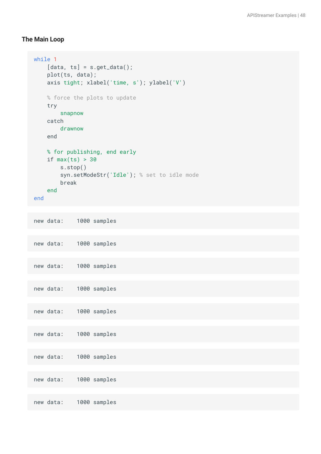#### **The Main Loop**

```
while 1
    [data, ts] = s.get_data(); plot(ts, data);
    axis tight; xlabel('time, s'); ylabel('V')
    % force the plots to update
    try
        snapnow
    catch
        drawnow
     end
    % for publishing, end early
   if max(ts) > 30 s.stop()
        syn.setModeStr('Idle'); % set to idle mode
        break
     end
end
new data: 1000 samples
new data: 1000 samples
new data: 1000 samples
new data: 1000 samples
new data: 1000 samples
new data: 1000 samples
new data: 1000 samples
new data: 1000 samples
```
new data: 1000 samples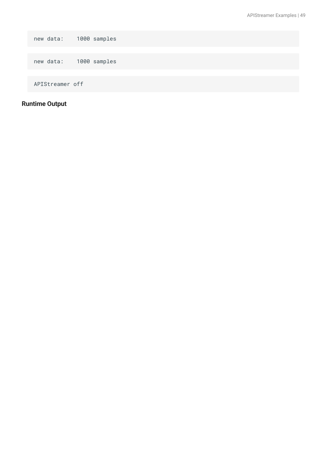new data: 1000 samples new data: 1000 samples APIStreamer off

## **Runtime Output**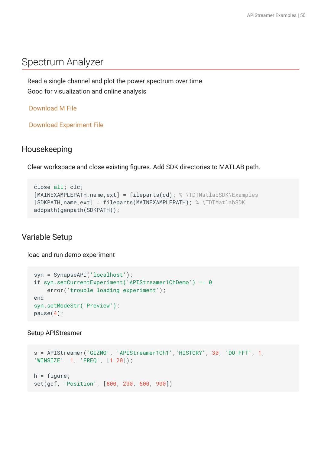## <span id="page-49-0"></span>Spectrum Analyzer

Read a single channel and plot the power spectrum over time Good for visualization and online analysis

 [Download M File](https://www.tdt.com/docs/sdk/online-control-and-data-analysis/assets/m_files/Example_OnlineFFT.m)

 [Download Experiment File](https://www.tdt.com/docs/sdk/online-control-and-data-analysis/assets/synexpz_files/APIStreamer1ChDemo.synexpz)

## Housekeeping

Clear workspace and close existing figures. Add SDK directories to MATLAB path.

```
close all; clc;
[MAINEXAMPLEPATH,name,ext] = fileparts(cd); % \TDTMatlabSDK\Examples
[SDKPATH,name,ext] = fileparts(MAINEXAMPLEPATH); % \TDTMatlabSDK
addpath(genpath(SDKPATH));
```
## Variable Setup

load and run demo experiment

```
syn = SynapseAPI('localhost');
if syn.setCurrentExperiment('APIStreamer1ChDemo') == 0
     error('trouble loading experiment');
end
syn.setModeStr('Preview');
pause(4);
```
Setup APIStreamer

```
s = APIStreamer('GIZMO', 'APIStreamer1Ch1','HISTORY', 30, 'DO_FFT', 1,
'WINSIZE', 1, 'FREQ', [1 20]);
h = figure;
set(gcf, 'Position', [800, 200, 600, 900])
```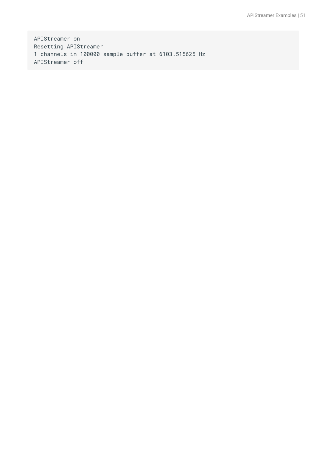APIStreamer on Resetting APIStreamer 1 channels in 100000 sample buffer at 6103.515625 Hz APIStreamer off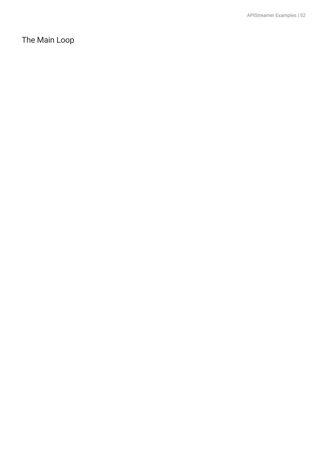The Main Loop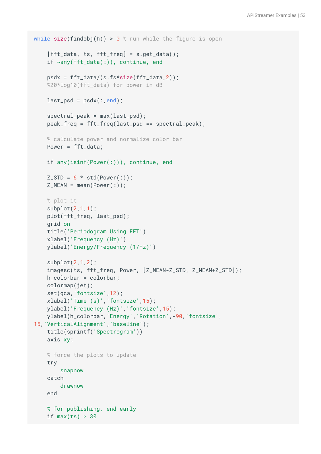```
while size(findobj(h)) > 0 % run while the figure is open
    [fft_data, ts, fft\_freq] = s.get_data(); if ~any(fft_data(:)), continue, end
     psdx = fft_data/(s.fs*size(fft_data,2));
    %20*log10(fft_data) for power in dB
    last_psd = psdx; end);
    spectral_peak = max(last_psd); peak_freq = fft_freq(last_psd == spectral_peak);
    % calculate power and normalize color bar
     Power = fft_data;
     if any(isinf(Power(:))), continue, end
   Z_STD = 6 * std(Power(:));Z_MEAN = mean(Power(:)); % plot it
     subplot(2,1,1);
     plot(fft_freq, last_psd);
     grid on
    title('Periodogram Using FFT')
     xlabel('Frequency (Hz)')
    ylabel('Energy/Frequency (1/Hz)')
     subplot(2,1,2);
     imagesc(ts, fft_freq, Power, [Z_MEAN-Z_STD, Z_MEAN+Z_STD]);
    h_colorbar = colorbar;
    colormap(jet);
     set(gca,'fontsize',12);
     xlabel('Time (s)','fontsize',15);
    ylabel('Frequency (Hz)','fontsize',15);
    ylabel(h_colorbar,'Energy','Rotation',-90,'fontsize',
15,'VerticalAlignment','baseline');
    title(sprintf('Spectrogram'))
     axis xy;
    % force the plots to update
    try
         snapnow
     catch
         drawnow
     end
    % for publishing, end early
    if max(ts) > 30
```